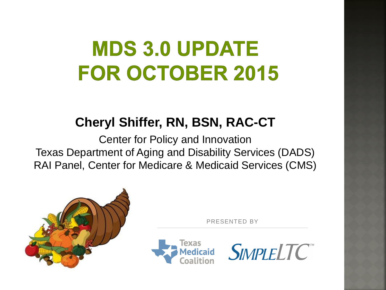# **MDS 3.0 UPDATE FOR OCTOBER 2015**

#### **Cheryl Shiffer, RN, BSN, RAC-CT**

Center for Policy and Innovation Texas Department of Aging and Disability Services (DADS) RAI Panel, Center for Medicare & Medicaid Services (CMS)



PRESENTED BY



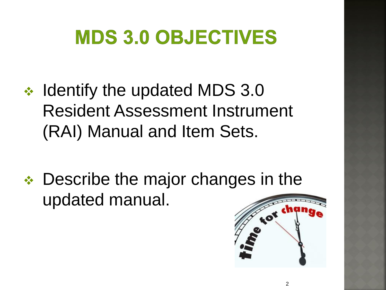# **MDS 3.0 OBJECTIVES**

- **❖** Identify the updated MDS 3.0 Resident Assessment Instrument (RAI) Manual and Item Sets.
- **↑ Describe the major changes in the** updated manual.

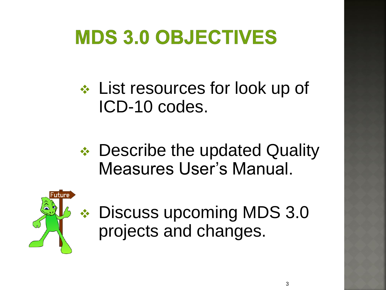## **MDS 3.0 OBJECTIVES**

**↑ List resources for look up of** ICD-10 codes.

**↑ Describe the updated Quality** Measures User's Manual.



◆ Discuss upcoming MDS 3.0 projects and changes.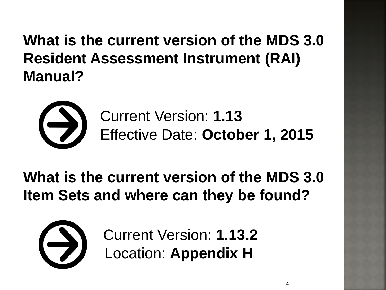**What is the current version of the MDS 3.0 Resident Assessment Instrument (RAI) Manual?**



Current Version: **1.13** Effective Date: **October 1, 2015**

#### **What is the current version of the MDS 3.0 Item Sets and where can they be found?**



Current Version: **1.13.2** Location: **Appendix H**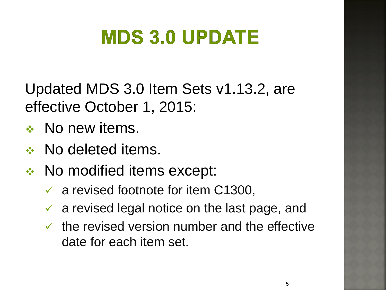Updated MDS 3.0 Item Sets v1.13.2, are effective October 1, 2015:

- ◆ No new items.
- **↑ No deleted items.**
- ◆ No modified items except:
	- $\checkmark$  a revised footnote for item C1300,
	- $\checkmark$  a revised legal notice on the last page, and
	- $\checkmark$  the revised version number and the effective date for each item set.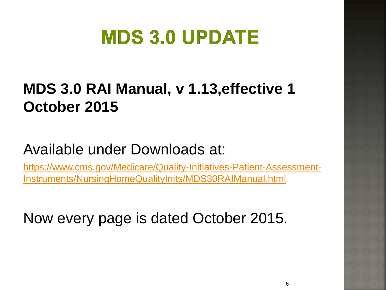### **MDS 3.0 RAI Manual, v 1.13,effective 1 October 2015**

#### Available under Downloads at:

[https://www.cms.gov/Medicare/Quality-Initiatives-Patient-Assessment-](https://www.cms.gov/Medicare/Quality-Initiatives-Patient-Assessment-Instruments/NursingHomeQualityInits/MDS30RAIManual.html)[Instruments/NursingHomeQualityInits/MDS30RAIManual.html](https://www.cms.gov/Medicare/Quality-Initiatives-Patient-Assessment-Instruments/NursingHomeQualityInits/MDS30RAIManual.html)

Now every page is dated October 2015.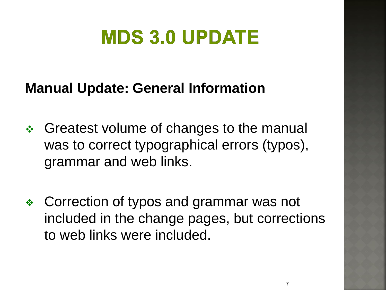#### **Manual Update: General Information**

- Greatest volume of changes to the manual was to correct typographical errors (typos), grammar and web links.
- Correction of typos and grammar was not included in the change pages, but corrections to web links were included.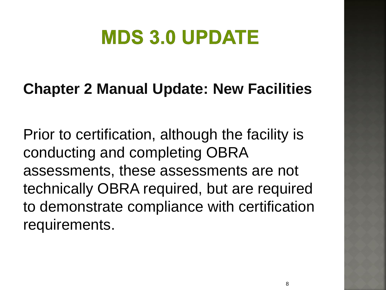#### **Chapter 2 Manual Update: New Facilities**

Prior to certification, although the facility is conducting and completing OBRA assessments, these assessments are not technically OBRA required, but are required to demonstrate compliance with certification requirements.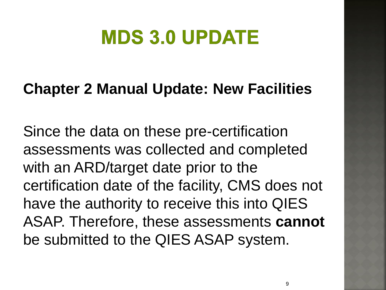#### **Chapter 2 Manual Update: New Facilities**

Since the data on these pre-certification assessments was collected and completed with an ARD/target date prior to the certification date of the facility, CMS does not have the authority to receive this into QIES ASAP. Therefore, these assessments **cannot**  be submitted to the QIES ASAP system.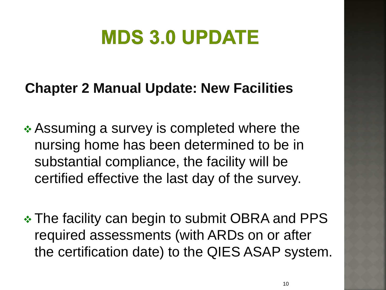#### **Chapter 2 Manual Update: New Facilities**

**↑ Assuming a survey is completed where the** nursing home has been determined to be in substantial compliance, the facility will be certified effective the last day of the survey.

• The facility can begin to submit OBRA and PPS required assessments (with ARDs on or after the certification date) to the QIES ASAP system.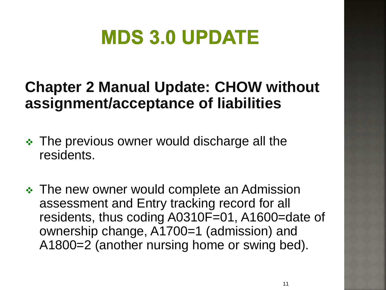#### **Chapter 2 Manual Update: CHOW without assignment/acceptance of liabilities**

- The previous owner would discharge all the residents.
- The new owner would complete an Admission assessment and Entry tracking record for all residents, thus coding A0310F=01, A1600=date of ownership change, A1700=1 (admission) and A1800=2 (another nursing home or swing bed).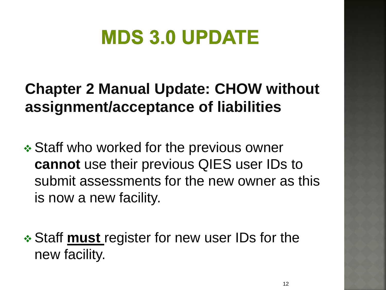### **Chapter 2 Manual Update: CHOW without assignment/acceptance of liabilities**

 **❖ Staff who worked for the previous owner cannot** use their previous QIES user IDs to submit assessments for the new owner as this is now a new facility.

 Staff **must** register for new user IDs for the new facility.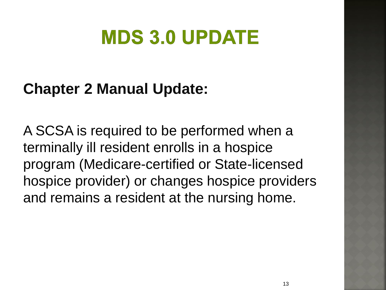#### **Chapter 2 Manual Update:**

A SCSA is required to be performed when a terminally ill resident enrolls in a hospice program (Medicare-certified or State-licensed hospice provider) or changes hospice providers and remains a resident at the nursing home.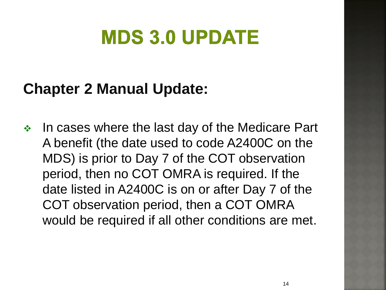#### **Chapter 2 Manual Update:**

 $\cdot$  In cases where the last day of the Medicare Part A benefit (the date used to code A2400C on the MDS) is prior to Day 7 of the COT observation period, then no COT OMRA is required. If the date listed in A2400C is on or after Day 7 of the COT observation period, then a COT OMRA would be required if all other conditions are met.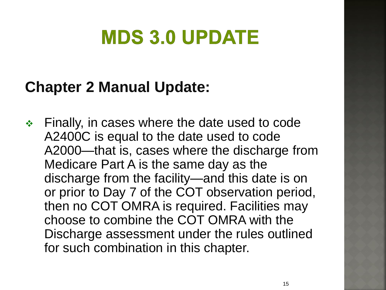#### **Chapter 2 Manual Update:**

 Finally, in cases where the date used to code A2400C is equal to the date used to code A2000—that is, cases where the discharge from Medicare Part A is the same day as the discharge from the facility—and this date is on or prior to Day 7 of the COT observation period, then no COT OMRA is required. Facilities may choose to combine the COT OMRA with the Discharge assessment under the rules outlined for such combination in this chapter.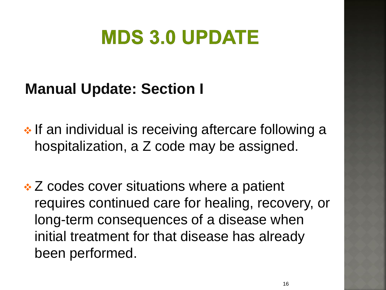#### **Manual Update: Section I**

• If an individual is receiving aftercare following a hospitalization, a Z code may be assigned.

 Z codes cover situations where a patient requires continued care for healing, recovery, or long-term consequences of a disease when initial treatment for that disease has already been performed.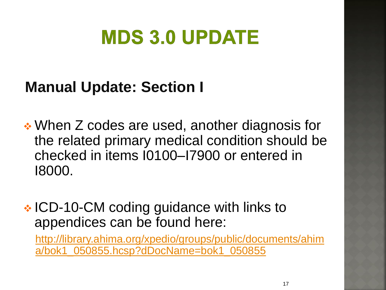#### **Manual Update: Section I**

 When Z codes are used, another diagnosis for the related primary medical condition should be checked in items I0100–I7900 or entered in I8000.

#### **EXA** ICD-10-CM coding guidance with links to appendices can be found here:

[http://library.ahima.org/xpedio/groups/public/documents/ahim](If an individual is receiving aftercare following a) [a/bok1\\_050855.hcsp?dDocName=bok1\\_050855](If an individual is receiving aftercare following a)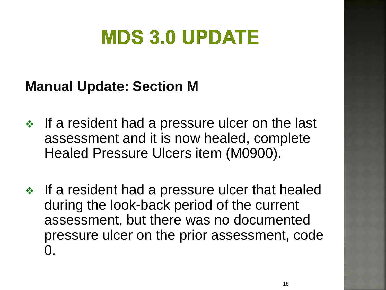#### **Manual Update: Section M**

- $\cdot$  If a resident had a pressure ulcer on the last assessment and it is now healed, complete Healed Pressure Ulcers item (M0900).
- $\cdot$  If a resident had a pressure ulcer that healed during the look-back period of the current assessment, but there was no documented pressure ulcer on the prior assessment, code  $\Omega$ .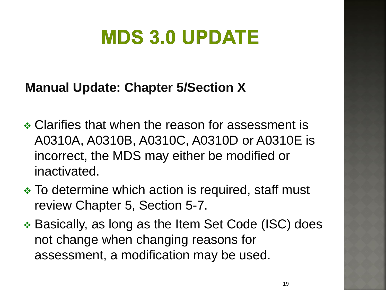#### **Manual Update: Chapter 5/Section X**

- Clarifies that when the reason for assessment is A0310A, A0310B, A0310C, A0310D or A0310E is incorrect, the MDS may either be modified or inactivated.
- To determine which action is required, staff must review Chapter 5, Section 5-7.
- Basically, as long as the Item Set Code (ISC) does not change when changing reasons for assessment, a modification may be used.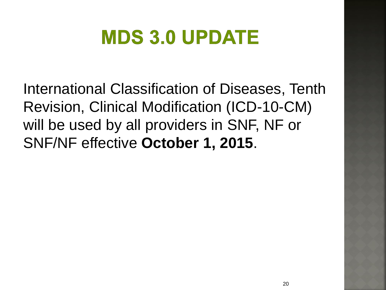International Classification of Diseases, Tenth Revision, Clinical Modification (ICD-10-CM) will be used by all providers in SNF, NF or SNF/NF effective **October 1, 2015**.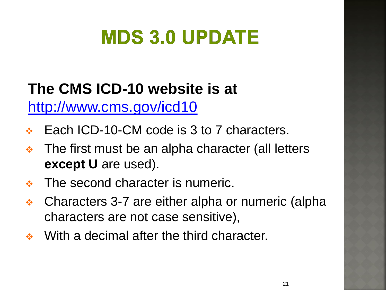#### **The CMS ICD-10 website is at**  http://www.cms.gov/icd10

- Each ICD-10-CM code is 3 to 7 characters.
- $\div$  The first must be an alpha character (all letters **except U** are used).
- The second character is numeric.
- Characters 3-7 are either alpha or numeric (alpha characters are not case sensitive),
- ◆ With a decimal after the third character.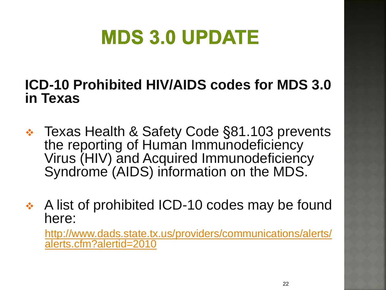#### **ICD-10 Prohibited HIV/AIDS codes for MDS 3.0 in Texas**

- Texas Health & Safety Code §81.103 prevents the reporting of Human Immunodeficiency Virus (HIV) and Acquired Immunodeficiency Syndrome (AIDS) information on the MDS.
- A list of prohibited ICD-10 codes may be found here:

[http://www.dads.state.tx.us/providers/communications/alerts/](http://www.dads.state.tx.us/providers/communications/alerts/alerts.cfm?alertid=2010) [alerts.cfm?alertid=2010](http://www.dads.state.tx.us/providers/communications/alerts/alerts.cfm?alertid=2010)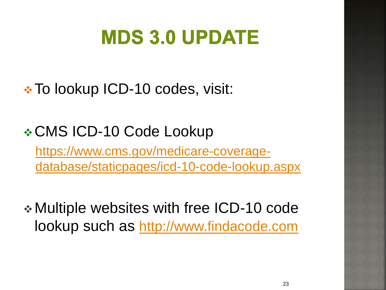**\* To lookup ICD-10 codes, visit:** 

**\* CMS ICD-10 Code Lookup** [https://www.cms.gov/medicare-coverage-](https://www.cms.gov/medicare-coverage-database/staticpages/icd-10-code-lookup.aspx)

[database/staticpages/icd-10-code-lookup.aspx](https://www.cms.gov/medicare-coverage-database/staticpages/icd-10-code-lookup.aspx)

 Multiple websites with free ICD-10 code lookup such as [http:](http://www.findacode.com/)[//](https://www.cms.gov/medicare-coverage-database/staticpages/icd-10-code-lookup.aspx)[www.findacode.com](http://www.findacode.com/)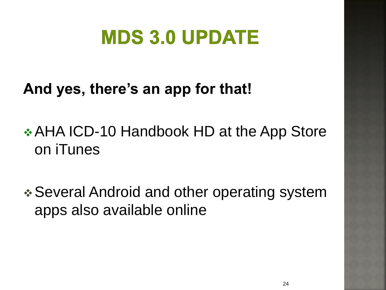#### **And yes, there's an app for that!**

### **❖ AHA ICD-10 Handbook HD at the App Store** on iTunes

 Several Android and other operating system apps also available online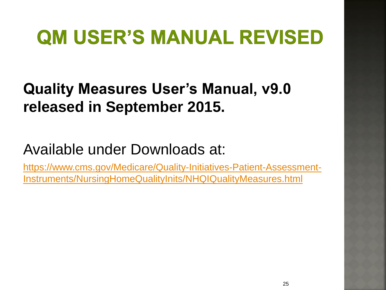### **QM USER'S MANUAL REVISED**

#### **Quality Measures User's Manual, v9.0 released in September 2015.**

#### Available under Downloads at:

[https://www.cms.gov/Medicare/Quality-Initiatives-Patient-Assessment-](https://www.cms.gov/Medicare/Quality-Initiatives-Patient-Assessment-Instruments/NursingHomeQualityInits/NHQIQualityMeasures.html)[Instruments/NursingHomeQualityInits/NHQIQualityMeasures.html](https://www.cms.gov/Medicare/Quality-Initiatives-Patient-Assessment-Instruments/NursingHomeQualityInits/NHQIQualityMeasures.html)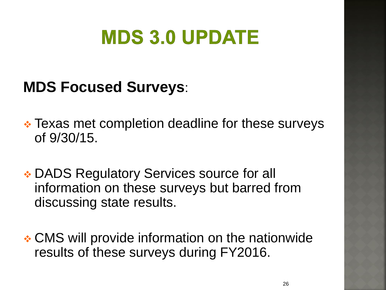#### **MDS Focused Surveys**:

- Texas met completion deadline for these surveys of 9/30/15.
- **★ DADS Regulatory Services source for all** information on these surveys but barred from discussing state results.
- CMS will provide information on the nationwide results of these surveys during FY2016.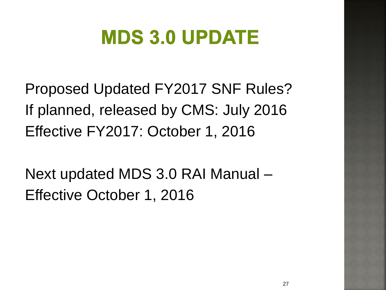Proposed Updated FY2017 SNF Rules? If planned, released by CMS: July 2016 Effective FY2017: October 1, 2016

Next updated MDS 3.0 RAI Manual – Effective October 1, 2016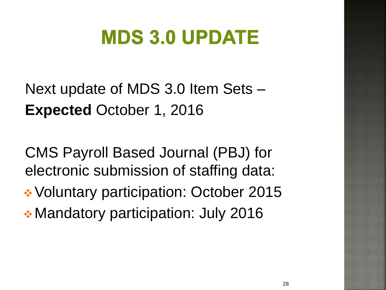Next update of MDS 3.0 Item Sets – **Expected** October 1, 2016

CMS Payroll Based Journal (PBJ) for electronic submission of staffing data: **◆ Voluntary participation: October 2015 ★ Mandatory participation: July 2016**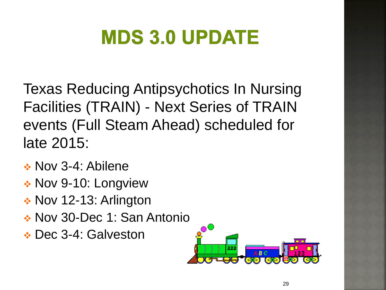Texas Reducing Antipsychotics In Nursing Facilities (TRAIN) - Next Series of TRAIN events (Full Steam Ahead) scheduled for late 2015:

- Nov 3-4: Abilene
- Nov 9-10: Longview
- ◆ Nov 12-13: Arlington
- Nov 30-Dec 1: San Antonio
- **↑ Dec 3-4: Galveston**